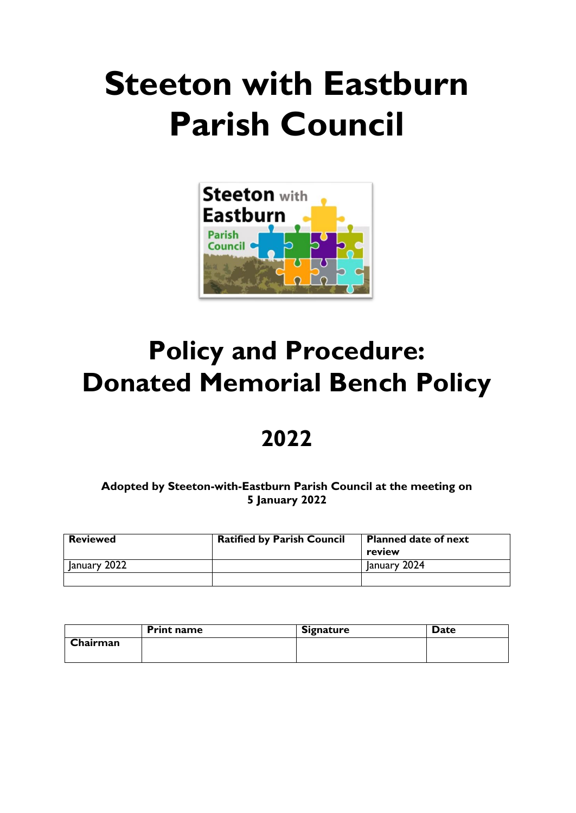# **Steeton with Eastburn Parish Council**



## **Policy and Procedure: Donated Memorial Bench Policy**

### **2022**

**Adopted by Steeton-with-Eastburn Parish Council at the meeting on 5 January 2022**

| <b>Reviewed</b> | <b>Ratified by Parish Council</b> | <b>Planned date of next</b><br>review |
|-----------------|-----------------------------------|---------------------------------------|
| January 2022    |                                   | January 2024                          |
|                 |                                   |                                       |

|          | <b>Print name</b> | <b>Signature</b> | <b>Date</b> |
|----------|-------------------|------------------|-------------|
| Chairman |                   |                  |             |
|          |                   |                  |             |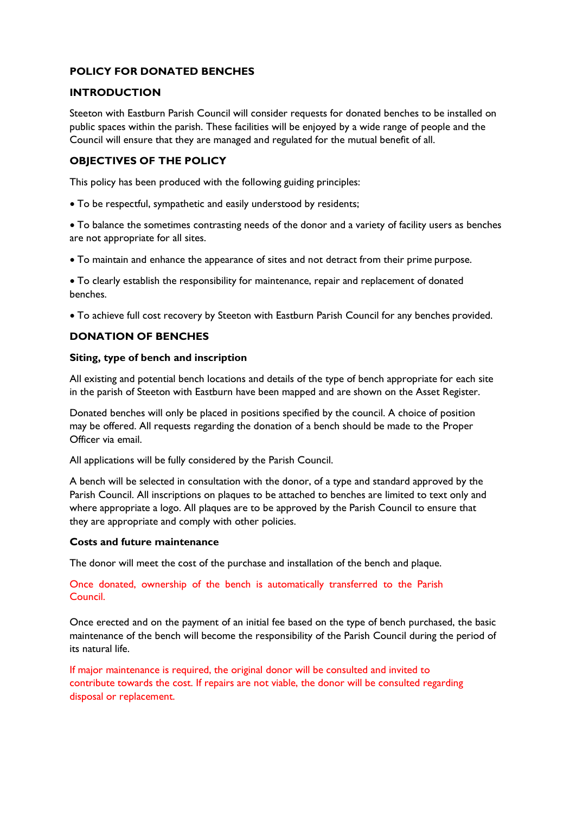#### **POLICY FOR DONATED BENCHES**

#### **INTRODUCTION**

Steeton with Eastburn Parish Council will consider requests for donated benches to be installed on public spaces within the parish. These facilities will be enjoyed by a wide range of people and the Council will ensure that they are managed and regulated for the mutual benefit of all.

#### **OBJECTIVES OF THE POLICY**

This policy has been produced with the following guiding principles:

• To be respectful, sympathetic and easily understood by residents;

• To balance the sometimes contrasting needs of the donor and a variety of facility users as benches are not appropriate for all sites.

• To maintain and enhance the appearance of sites and not detract from their prime purpose.

• To clearly establish the responsibility for maintenance, repair and replacement of donated benches.

• To achieve full cost recovery by Steeton with Eastburn Parish Council for any benches provided.

#### **DONATION OF BENCHES**

#### **Siting, type of bench and inscription**

All existing and potential bench locations and details of the type of bench appropriate for each site in the parish of Steeton with Eastburn have been mapped and are shown on the Asset Register.

Donated benches will only be placed in positions specified by the council. A choice of position may be offered. All requests regarding the donation of a bench should be made to the Proper Officer via email.

All applications will be fully considered by the Parish Council.

A bench will be selected in consultation with the donor, of a type and standard approved by the Parish Council. All inscriptions on plaques to be attached to benches are limited to text only and where appropriate a logo. All plaques are to be approved by the Parish Council to ensure that they are appropriate and comply with other policies.

#### **Costs and future maintenance**

The donor will meet the cost of the purchase and installation of the bench and plaque.

#### Once donated, ownership of the bench is automatically transferred to the Parish Council.

Once erected and on the payment of an initial fee based on the type of bench purchased, the basic maintenance of the bench will become the responsibility of the Parish Council during the period of its natural life.

If major maintenance is required, the original donor will be consulted and invited to contribute towards the cost. If repairs are not viable, the donor will be consulted regarding disposal or replacement.